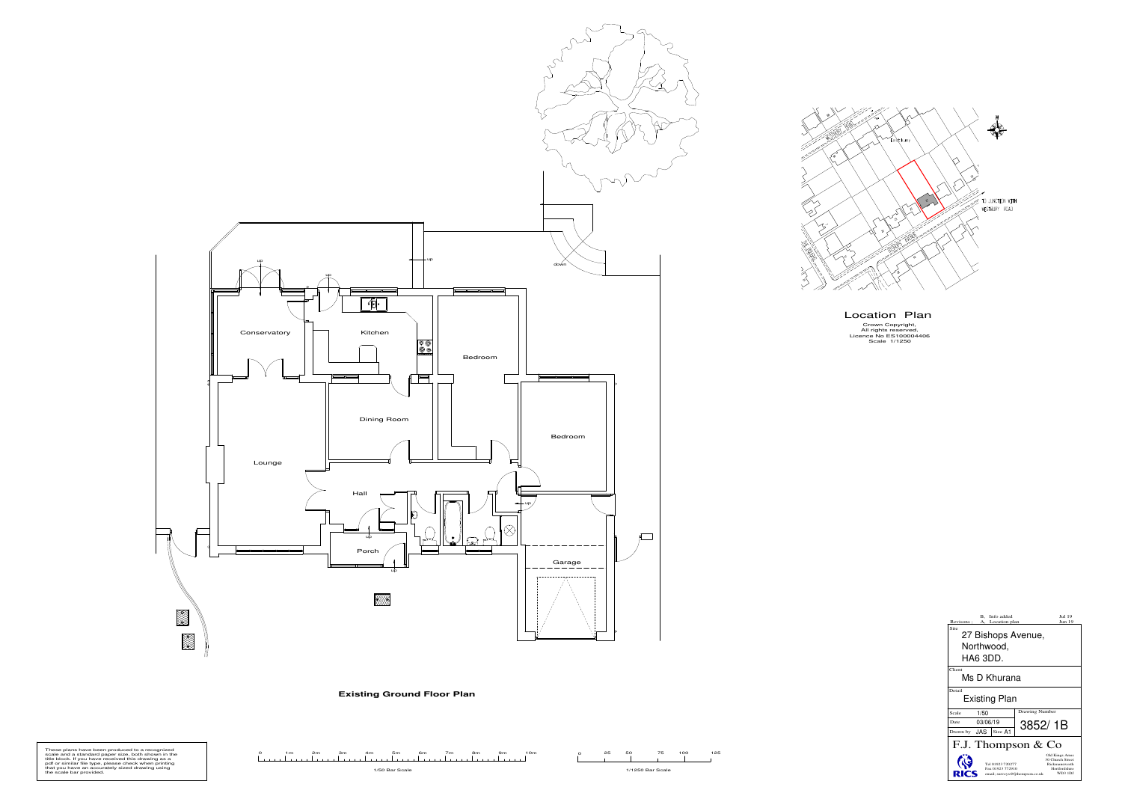| These plans have been produced to a recognized<br>scale and a standard paper size, both shown in the<br>title block. If you have received this drawing as a |  |  |                |  |  | 10m | 25 |                  | 125 |
|-------------------------------------------------------------------------------------------------------------------------------------------------------------|--|--|----------------|--|--|-----|----|------------------|-----|
| pdf or similar file type, please check when printing<br>that you have an accurately sized drawing using<br>the scale bar provided.                          |  |  | 1/50 Bar Scale |  |  |     |    | 1/1250 Bar Scale |     |

2



**Existing Ground Floor Plan**

Location Plan

Crown Copyright, All rights reserved, Licence No ES100004406 Scale 1/1250

| Info added<br><b>B.</b><br>Revisons :<br>A, Location plan                                                                                                  | Jul 19<br><b>Jun 19</b> |  |  |  |  |  |
|------------------------------------------------------------------------------------------------------------------------------------------------------------|-------------------------|--|--|--|--|--|
| Site<br>27 Bishops Avenue,                                                                                                                                 |                         |  |  |  |  |  |
| Northwood,                                                                                                                                                 |                         |  |  |  |  |  |
| HA6 3DD.                                                                                                                                                   |                         |  |  |  |  |  |
| Client<br>Ms D Khurana                                                                                                                                     |                         |  |  |  |  |  |
| Detail<br><b>Existing Plan</b>                                                                                                                             |                         |  |  |  |  |  |
| 1/50<br>Scale                                                                                                                                              | Drawing Number          |  |  |  |  |  |
| 03/06/19<br>Date                                                                                                                                           | 3852/1B                 |  |  |  |  |  |
| JAS<br>Size A1<br>Drawn by                                                                                                                                 |                         |  |  |  |  |  |
| F.J. Thompson & Co                                                                                                                                         |                         |  |  |  |  |  |
| Old Kings Arms<br>30 Church Street<br>Tel 01923 720277<br>Rickmansworth<br>Fax 01923 772910<br>Hertfordshire<br>WD3 1DJ<br>email; surveys@fjthompson.co.uk |                         |  |  |  |  |  |

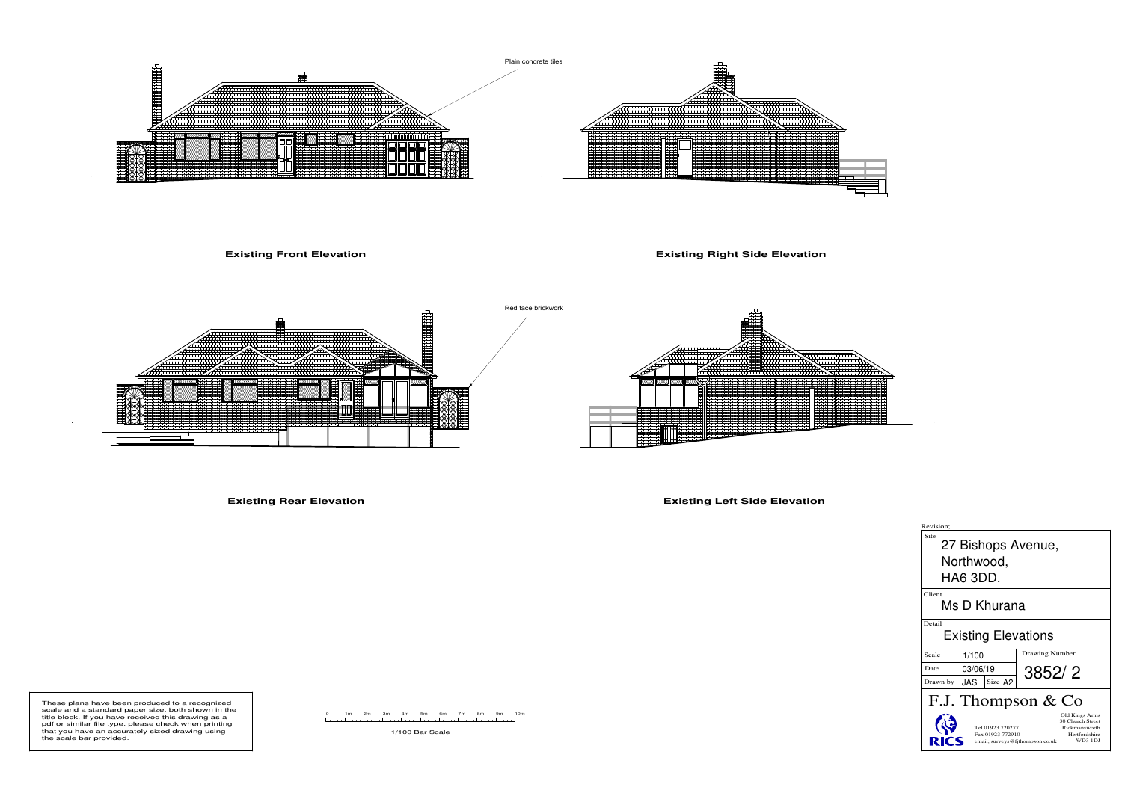





## **Existing Front Elevation**

## **Existing Right Side Elevation**



**Existing Rear Elevation**

**Existing Left Side Elevation**

1/100 Bar Scale



These plans have been produced to a recognized scale and a standard paper size, both shown in the title block. If you have received this drawing as a pdf or similar file type, please check when printing that you have an accurately sized drawing using the scale bar provided.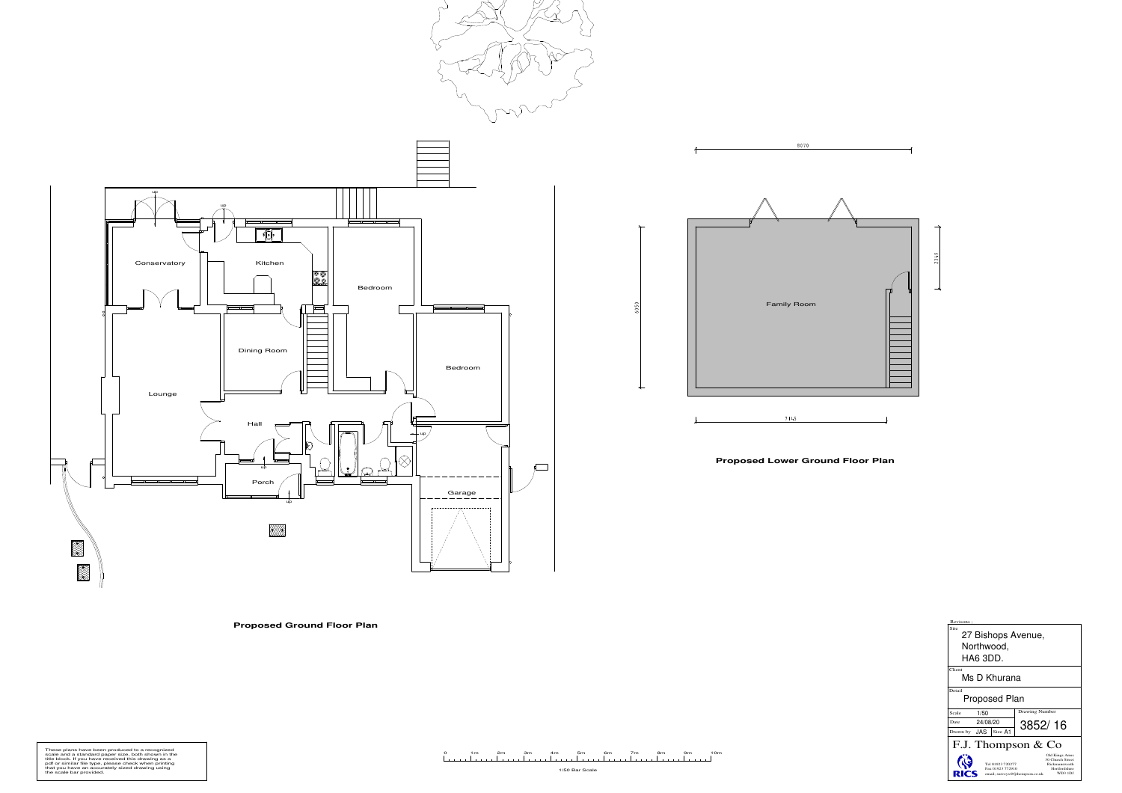1/50 Bar Scale

0 1m 2m 3m 4m 5m 6m 7m 8m 9m 10m

## **Proposed Ground Floor Plan**

These plans have been produced to a recognized<br>scale and a standard paper size, both shown in the<br>title block. If you have received this drawing as a<br>pdf or similar file type, please check when printing<br>that you have an ac



**Proposed Lower Ground Floor Plan**

| Revisons;                                                                                                                                                         |                |  |  |  |  |  |  |
|-------------------------------------------------------------------------------------------------------------------------------------------------------------------|----------------|--|--|--|--|--|--|
| Site<br>27 Bishops Avenue,                                                                                                                                        |                |  |  |  |  |  |  |
| Northwood,                                                                                                                                                        |                |  |  |  |  |  |  |
| HA6 3DD.                                                                                                                                                          |                |  |  |  |  |  |  |
| Client<br>Ms D Khurana                                                                                                                                            |                |  |  |  |  |  |  |
| Detail<br><b>Proposed Plan</b>                                                                                                                                    |                |  |  |  |  |  |  |
| 1/50<br>Scale                                                                                                                                                     | Drawing Number |  |  |  |  |  |  |
| 24/08/20<br>Date                                                                                                                                                  | 3852/16        |  |  |  |  |  |  |
| Drawn by <b>JAS</b><br>Size A1                                                                                                                                    |                |  |  |  |  |  |  |
| F.J. Thompson & Co                                                                                                                                                |                |  |  |  |  |  |  |
| Old Kings Arms<br>30 Church Street<br>Tel 01923 720277<br>Rickmansworth<br>Fax 01923 772910<br>Hertfordshire<br><b>WD3 1DJ</b><br>email; surveys@fjthompson.co.uk |                |  |  |  |  |  |  |